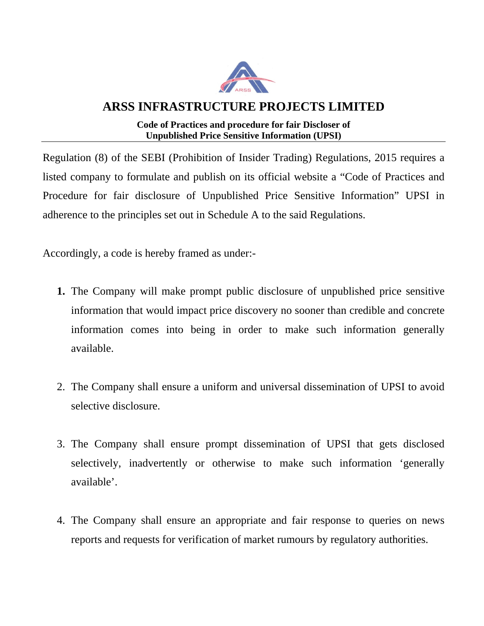

## **ARSS INFRASTRUCTURE PROJECTS LIMITED**

## **Code of Practices and procedure for fair Discloser of Unpublished Price Sensitive Information (UPSI)**

Regulation (8) of the SEBI (Prohibition of Insider Trading) Regulations, 2015 requires a listed company to formulate and publish on its official website a "Code of Practices and Procedure for fair disclosure of Unpublished Price Sensitive Information" UPSI in adherence to the principles set out in Schedule A to the said Regulations.

Accordingly, a code is hereby framed as under:-

- **1.** The Company will make prompt public disclosure of unpublished price sensitive information that would impact price discovery no sooner than credible and concrete information comes into being in order to make such information generally available.
- 2. The Company shall ensure a uniform and universal dissemination of UPSI to avoid selective disclosure.
- 3. The Company shall ensure prompt dissemination of UPSI that gets disclosed selectively, inadvertently or otherwise to make such information 'generally available'.
- 4. The Company shall ensure an appropriate and fair response to queries on news reports and requests for verification of market rumours by regulatory authorities.